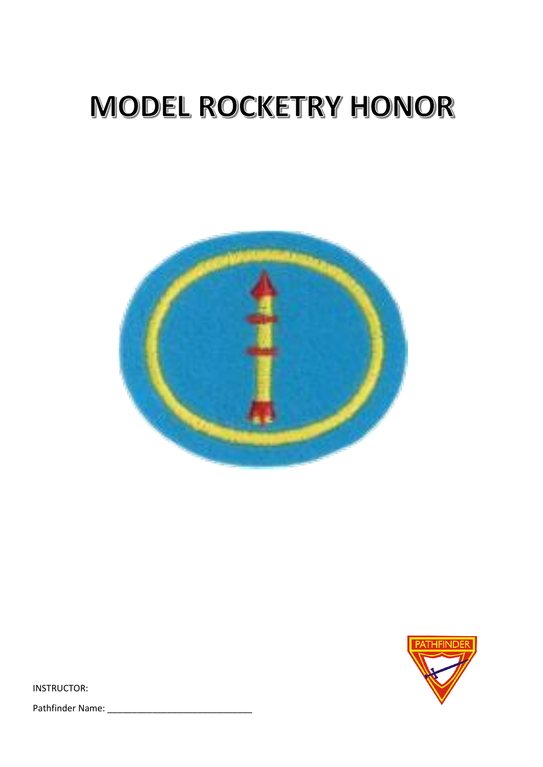# MODEL ROCKETRY HONOR





INSTRUCTOR:

Pathfinder Name: \_\_\_\_\_\_\_\_\_\_\_\_\_\_\_\_\_\_\_\_\_\_\_\_\_\_\_\_\_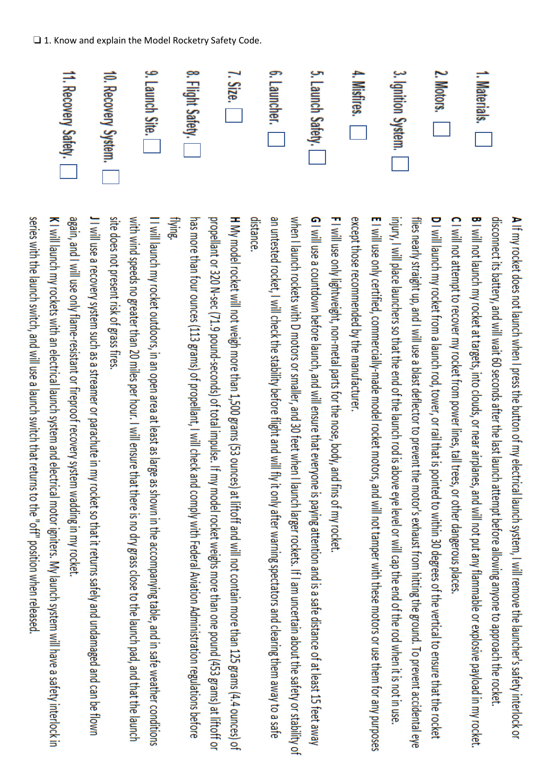| C   Will not attempt to recover my coket from power lines, call trees, or other dangerous places. | <b>B</b> I will not paract at targets, jnto clocks, or acar airganes, and will not put and the manupulation cocket at targets or pexplosive payload in Exil not put and the section or explosive payload in the section of $\sim$ | disconnect its battery, and will wait 60 seconds after the last launch attempt before allowing anyone to approach the rocket. | ▶ If my rocket does not launch when I press the button of my electrical launch system, I will remove th |
|---------------------------------------------------------------------------------------------------|-----------------------------------------------------------------------------------------------------------------------------------------------------------------------------------------------------------------------------------|-------------------------------------------------------------------------------------------------------------------------------|---------------------------------------------------------------------------------------------------------|
|                                                                                                   |                                                                                                                                                                                                                                   |                                                                                                                               | is launcher's safety interlock or                                                                       |

1. Materials.

D I will launch my rocket from a launch rod, tower, or rail that is pointed to within 30 degrees of the vertical to ensure that the rocket except those recommended by the manufacturer. E I will use only certified, commercially-made model rocket motors, and will not tamper with these motors or use them for any purposes injury, I will place launchers so that the end of the launch rod is above eye level or will cap the end of the rod when it is not in use flies nearly straight up, and I will use a blast deflector to prevent the motor's exhaust from hitting the ground. To prevent accidental eye

FI will use only lightweight, non-metal parts for the nose, body, and fins of my rocket

distance G I will use a countdown before launch, and will ensure that everyone is paying attention and is a safe distance of at least 15 feet away an untested rocket, I will check the stability before flight and will fly it only after warning spectators and clearing them away to a safe when I launch rockets with D motors or smaller, and 30 feet when I launch larger rockets. If I am uncertain about the safety or stability of

Hying. H My model rocket will not weigh more than 1,500 grams (53 ounces) at liftoff and will not contain more than 125 grams (4.4 ounces) of propellant or 320 N-sec (71.9 pound-seconds) of total impulse. If my model rocket weighs more than one pound (453 grams) at liftoff or has more than four ounces (113 grams) of propellant, I will check and comply with Federal Aviation Administration regulations before

site does not present risk of grass fires I I will launch my rocket outdoors, in an open area at least as large as shown in the accompanying table, and in safe weather conditions with wind speeds no greater than 20 miles per hour. I will ensure that there is no dry grass close to the launch pad, and that the launch

again, and I will use only flame-resistant or fireproof recovery system wadding in my rocket JI will use a recovery system such as a streamer or parachute in my rocket so that it returns safely and undamaged and can be flown

series with the launch switch, and will use a launch switch that returns to the "off" position when released K I will launch my rockets with an electrical launch system and electrical motor igniters. My launch system will have a safety interlock in

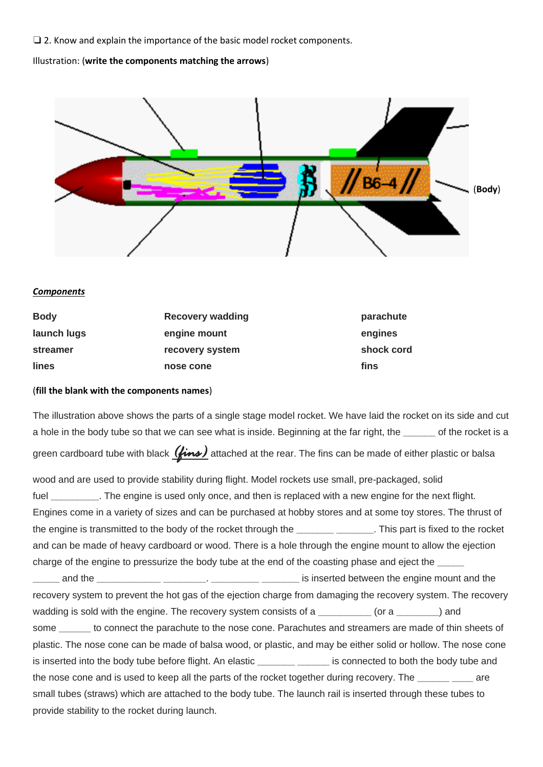❏ 2. Know and explain the importance of the basic model rocket components.

Illustration: (**write the components matching the arrows**)



## *Components*

| <b>Body</b> | <b>Recovery wadding</b> | parachute  |
|-------------|-------------------------|------------|
| launch lugs | engine mount            | engines    |
| streamer    | recovery system         | shock cord |
| lines       | nose cone               | fins       |

## (**fill the blank with the components names**)

The illustration above shows the parts of a single stage model rocket. We have laid the rocket on its side and cut a hole in the body tube so that we can see what is inside. Beginning at the far right, the **\_\_\_\_\_\_** of the rocket is a green cardboard tube with black  $(\overrightarrow{lim})$  attached at the rear. The fins can be made of either plastic or balsa

wood and are used to provide stability during flight. Model rockets use small, pre-packaged, solid fuel **The engine is used only once, and then is replaced with a new engine for the next flight.** Engines come in a variety of sizes and can be purchased at hobby stores and at some toy stores. The thrust of the engine is transmitted to the body of the rocket through the **\_\_\_\_\_\_\_ \_\_\_\_\_\_\_**. This part is fixed to the rocket and can be made of heavy cardboard or wood. There is a hole through the engine mount to allow the ejection charge of the engine to pressurize the body tube at the end of the coasting phase and eject the **\_\_\_\_\_ \_\_\_\_\_** and the **\_\_\_\_\_\_\_\_\_\_\_\_ \_\_\_\_\_\_\_\_**. **\_\_\_\_\_\_\_\_\_ \_\_\_\_\_\_\_** is inserted between the engine mount and the recovery system to prevent the hot gas of the ejection charge from damaging the recovery system. The recovery wadding is sold with the engine. The recovery system consists of a **\_\_\_\_\_\_\_\_** (or a \_\_\_\_\_\_ ) and some **\_\_\_\_\_\_** to connect the parachute to the nose cone. Parachutes and streamers are made of thin sheets of plastic. The nose cone can be made of balsa wood, or plastic, and may be either solid or hollow. The nose cone is inserted into the body tube before flight. An elastic **\_\_\_\_\_\_\_ \_\_\_\_\_\_** is connected to both the body tube and the nose cone and is used to keep all the parts of the rocket together during recovery. The **\_\_\_\_\_\_ \_\_\_\_** are small tubes (straws) which are attached to the body tube. The launch rail is inserted through these tubes to provide stability to the rocket during launch.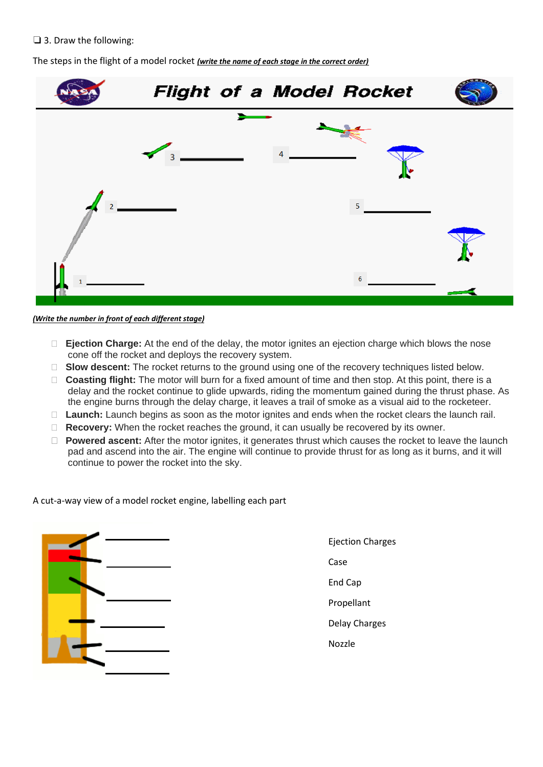## ❏ 3. Draw the following:

The steps in the flight of a model rocket *(write the name of each stage in the correct order)*



#### *(Write the number in front of each different stage)*

- **Ejection Charge:** At the end of the delay, the motor ignites an ejection charge which blows the nose cone off the rocket and deploys the recovery system.
- □ **Slow descent:** The rocket returns to the ground using one of the recovery techniques listed below.
- **Coasting flight:** The motor will burn for a fixed amount of time and then stop. At this point, there is a delay and the rocket continue to glide upwards, riding the momentum gained during the thrust phase. As the engine burns through the delay charge, it leaves a trail of smoke as a visual aid to the rocketeer.
- □ **Launch:** Launch begins as soon as the motor ignites and ends when the rocket clears the launch rail.
- □ **Recovery:** When the rocket reaches the ground, it can usually be recovered by its owner.
- □ **Powered ascent:** After the motor ignites, it generates thrust which causes the rocket to leave the launch pad and ascend into the air. The engine will continue to provide thrust for as long as it burns, and it will continue to power the rocket into the sky.

A cut-a-way view of a model rocket engine, labelling each part



Ejection Charges Case End Cap Propellant Delay Charges

Nozzle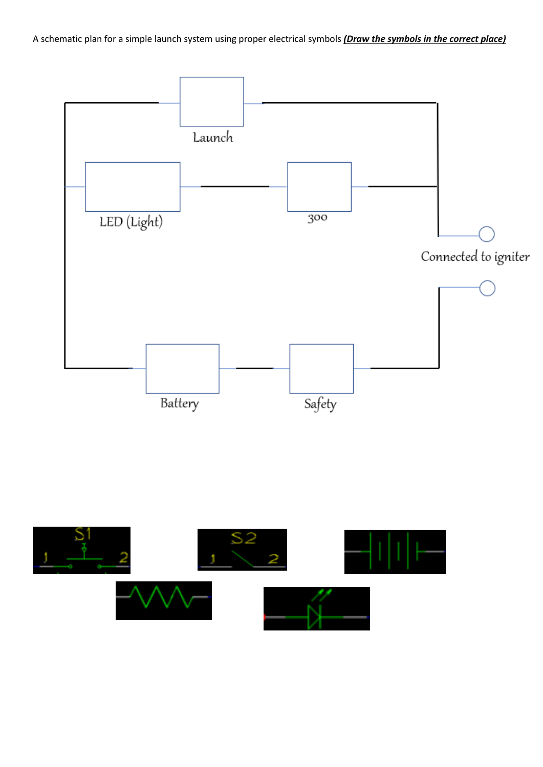A schematic plan for a simple launch system using proper electrical symbols *(Draw the symbols in the correct place)*



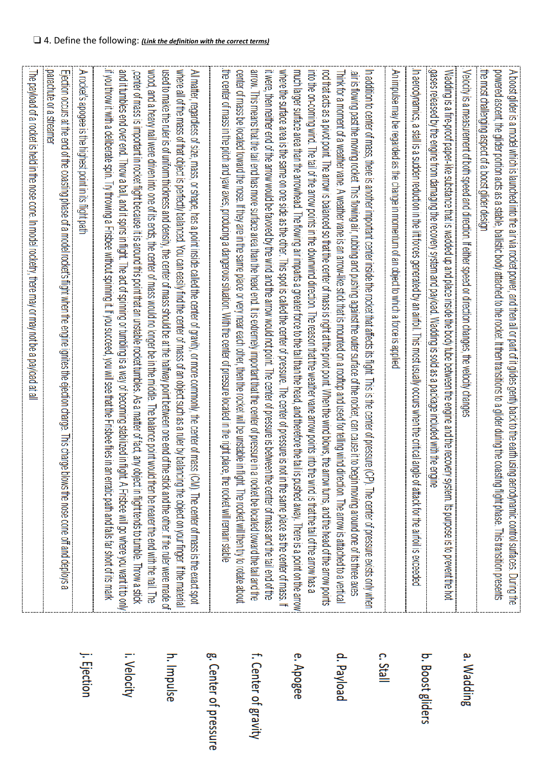|                       | . The payload of a rocket is held in the nose cone. In model rocketry, there may or may not be a payload at al                                                                                                                                                                                                                                                                                                                                                                                                                                                                                                                                                                                                                                                                                       |
|-----------------------|------------------------------------------------------------------------------------------------------------------------------------------------------------------------------------------------------------------------------------------------------------------------------------------------------------------------------------------------------------------------------------------------------------------------------------------------------------------------------------------------------------------------------------------------------------------------------------------------------------------------------------------------------------------------------------------------------------------------------------------------------------------------------------------------------|
|                       | parachute or a streame<br>Ejection occurs at the end of the coasting phase of a model rocket's flight when the engine ignites the ejection charge. This charge<br>blows the nose cone off and deploys a                                                                                                                                                                                                                                                                                                                                                                                                                                                                                                                                                                                              |
| j. Ejection           | A rocket's apogee is the highest point in its flight path                                                                                                                                                                                                                                                                                                                                                                                                                                                                                                                                                                                                                                                                                                                                            |
| i. Velocity           | if you throw it with a deliberate spin. Try throwing a Frisbee without spinning it. If you succeed, you will see that the Frisbee files in an erratic path and falls far short of its mark<br>and it tumbles end over end. Throw a ball, and it spins in flight. The act of spinning or tumbling is a way of becoming stabilized in flight. A Frisbee will go where you want it to only<br>center of mass is important in rocket flight because it is around this point that an unstable rocket tumbles. As a matter of fact, any object in flight tends to tumble. Throw a stick                                                                                                                                                                                                                    |
| h. Impulse            | where all of the mass of that object is perfectly balanced. You can easily find the center of mass of an object such as a ruler by balancing the object on your finger. If the material<br>wood, and a heavy nail were driven into one of its ends; the center of masss would no longer be in the middle. The balance point would then be leader of mass.<br>read to make the ruler is of uniform thickness and density. the Censity, the Center of masses about be atter hearing bounded bookseen one end of the stick and the stick and the other. If the ruler were massed<br>All matter, regardless of size, mass, or shape, has a point inside called the center of gravity, or more commonly, the center of mass<br>(CM). The center of mass is the exact spot                                 |
| g. Center of pressure | the center of mass in the pitch and yaw axes, producing a dangerous situation. With the center of pressure located in the right place, the rocket will remain stable                                                                                                                                                                                                                                                                                                                                                                                                                                                                                                                                                                                                                                 |
| f. Center of gravity  | arrow. This means that the tail end has more surface area than the head end. It is extremely important that the center of pressure in<br>center of mass be located toward the nose. If they are in the same place or very near each other, then the rocket will be unstable in<br>it were, then neither end of the arrow would be favored by the wind and the arrow would not point. The center of pressure is betwee<br>flight. The rocket will then try to rotate about<br>a rocket be located toward the tail and the<br>n the center of mass and the tail end of the                                                                                                                                                                                                                             |
| e. Apogee             | where the same are a is the same on one side as the other. This spot is called the center of pressure. The center of pressure is not in the same place as the center of mass. If<br>much larger surface area than the arrowhead. The flowing air imparts a greater force to the tail than the head, and therefore the tail<br>ric the arrow paind is the arrow points in the downwind direction. The reason that the weather vare arrow points into the wind is that the downwind first is that the downwind direction. The reason that the downwind directi<br>is pushed away. There is a point on the arrow                                                                                                                                                                                        |
| d. Payload            | In addition to center of mass, there is another important center inside the rocket that affects its fight. This is the center of pressure<br>red that acts as a pivot point. The arrow is balanced so the arrow strip when the wind point when the wind blows the arrow the renter of mass is right at the pivot point. When the wind blows is right at the pivot point. Wh<br>Think for a moment of a weather vane. A weather vane is an arrow-like stick that is mounted on a rooftop and used for telling wind direction. The arrow is attached to a vertical<br>air is flowing past the moving rocket. This flowing air, rubbing and pushing against the coller sufface of the rocket, can cause it to begin moving around one of its three axes<br>CP). The center of pressure exists only when |
| c. Stall              | An impulse may be regarded as the change in momentum of an object to which a force is applied.                                                                                                                                                                                                                                                                                                                                                                                                                                                                                                                                                                                                                                                                                                       |
| b. Boost gliders      | .In aerodynamics, a stall is a sudden reduction in the lift forces generated by an airfoil. This most usually occurs when the critical angle of attack for the airfoil is exceeded<br>gases released by the engine from damaging the recovery system and payload. Wadding is sold as a package included with the engine<br>Wadding is a fire-proof paper-like substance that is wadded up and place inside the body tube between the engine and the recovery system. Its purpose is to prevent the hot                                                                                                                                                                                                                                                                                               |
| a. Wadding            | Velocity is a measurement of both speed and direction. If either speed or direction changes, the velocity changes                                                                                                                                                                                                                                                                                                                                                                                                                                                                                                                                                                                                                                                                                    |
|                       | the most challenging aspect of a boost glider design<br>powered ascent, the glider portion acts as a stable, ballistic body attached to the rocket. It then transitions to a glider during the coasting flight phase. This transition presents<br>A boost glider is a model which is launched into the air via rocket power, and then all or part of it glides gently back to the earth using aerodynamic control surfaces. During the                                                                                                                                                                                                                                                                                                                                                               |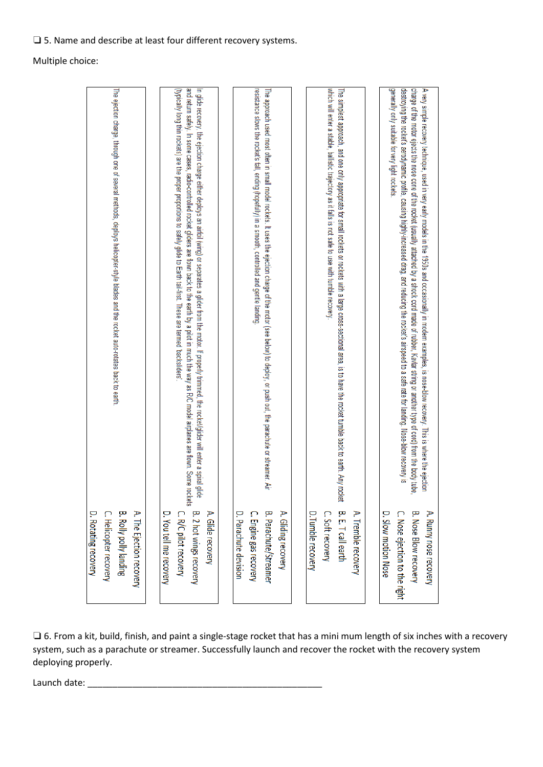## ❏ 5. Name and describe at least four different recovery systems.

Multiple choice:

| The ejection charge, through one of several methods, deploys helicopter-style blades and the rocket auto-rotates back to earth. | (typically long thin rockets) are the proper proportions to safely glide to Earth tail-first. These are termed backsliders'<br>and return safely. In some cases, radio-controlled rocket gliders are flown back to the earth by a pilot in much the way as R/C model airplanes are flown. Some rockets<br>In glide recovery, the ejection charge either deploys an airfoil (wing) or separates a glider from the motor. If properly trimmed, the rocket/glider will enter a spiral glide | resistance slows the rocket's fall, ending (hopefully) in a smooth, controlled and gentle landing<br>The approach used most often in small model rockets. It uses the ejection charge of the motor (see below) to deploy, or push out, the parachute or streamer. Air | which will enter a stable, ballistic trajectory as it falls is not safe to use with tumble recovery.<br>The simplest approach, and one only appropriate for small rockets or mockets with a large cross-sectional area, is to have the rocket tumble back to earth. Any rocket is $5.$ T call earth | charge of the motor ejects the nose cone of the rocket (usually attached by a shock cord made of rubber, Kevlar string or another type of cord) from the body tube.<br>generally only suitable for very light rockets.<br>destroying the rocket's aerodynamic profile, causing highly-increased drag, and reducing the rocket's airspeed to a safe rate for landing. Nose-blow recovery is<br>A very simple recovery technique, used in very early models in the 1950s and occasionally in modern examples, is nose-blow recovery. This is where the ejection |
|---------------------------------------------------------------------------------------------------------------------------------|------------------------------------------------------------------------------------------------------------------------------------------------------------------------------------------------------------------------------------------------------------------------------------------------------------------------------------------------------------------------------------------------------------------------------------------------------------------------------------------|-----------------------------------------------------------------------------------------------------------------------------------------------------------------------------------------------------------------------------------------------------------------------|-----------------------------------------------------------------------------------------------------------------------------------------------------------------------------------------------------------------------------------------------------------------------------------------------------|---------------------------------------------------------------------------------------------------------------------------------------------------------------------------------------------------------------------------------------------------------------------------------------------------------------------------------------------------------------------------------------------------------------------------------------------------------------------------------------------------------------------------------------------------------------|
| <b>B. Rolly polly landing</b><br>A. The Ejection recovery<br>D. Rotating recovery<br>C. Helicopter recovery                     | B. 2 hot wings recovery<br>A. Glide recovery<br>C. R/C pilot recovery<br>D. You tell me recovery                                                                                                                                                                                                                                                                                                                                                                                         | D. Parachute devision<br>B. Parachute/Streamer<br>A. Gliding recovery<br>C. Engine gas recovery                                                                                                                                                                       | A. Tremble recovery<br>D. Tumble recovery<br>C. Soft recovery                                                                                                                                                                                                                                       | D. Slow motion Nose<br>C. Nose ejection to the right<br><b>B. Nose Blow recovery</b><br>A. Runny nose recovery                                                                                                                                                                                                                                                                                                                                                                                                                                                |

❏ 6. From a kit, build, finish, and paint a single-stage rocket that has a mini mum length of six inches with a recovery system, such as a parachute or streamer. Successfully launch and recover the rocket with the recovery system deploying properly.

Launch date: \_\_\_\_\_\_\_\_\_\_\_\_\_\_\_\_\_\_\_\_\_\_\_\_\_\_\_\_\_\_\_\_\_\_\_\_\_\_\_\_\_\_\_\_\_\_\_